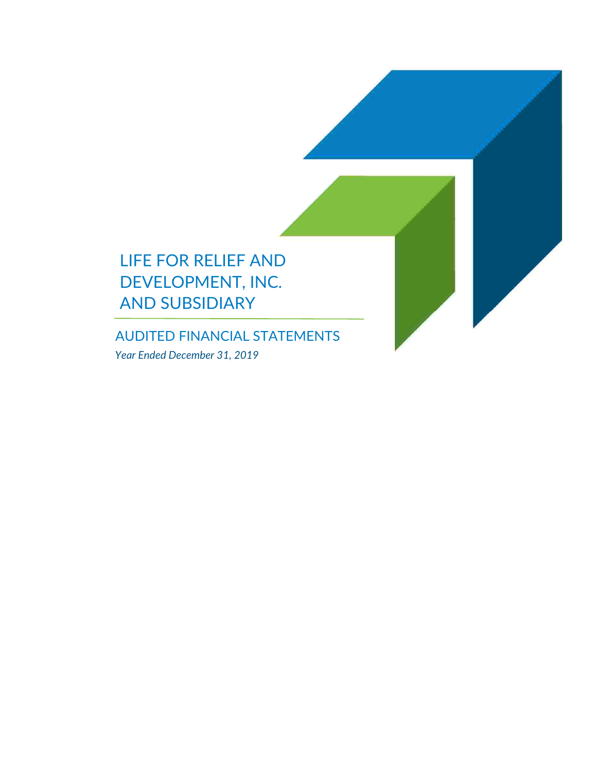

AUDITED FINANCIAL STATEMENTS *Year Ended December 31, 2019*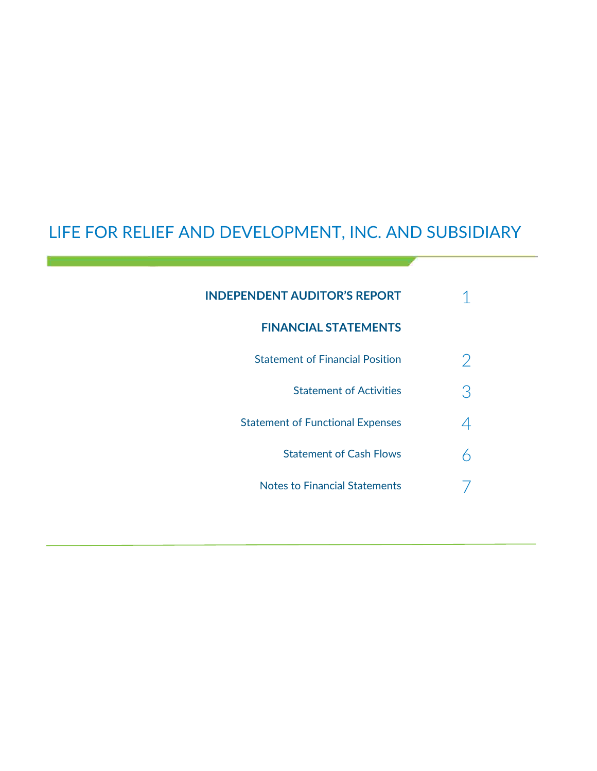# LIFE FOR RELIEF AND DEVELOPMENT, INC. AND SUBSIDIARY

| <b>INDEPENDENT AUDITOR'S REPORT</b>     |   |
|-----------------------------------------|---|
| <b>FINANCIAL STATEMENTS</b>             |   |
| <b>Statement of Financial Position</b>  | 2 |
| <b>Statement of Activities</b>          | З |
| <b>Statement of Functional Expenses</b> |   |
| <b>Statement of Cash Flows</b>          |   |
| <b>Notes to Financial Statements</b>    |   |
|                                         |   |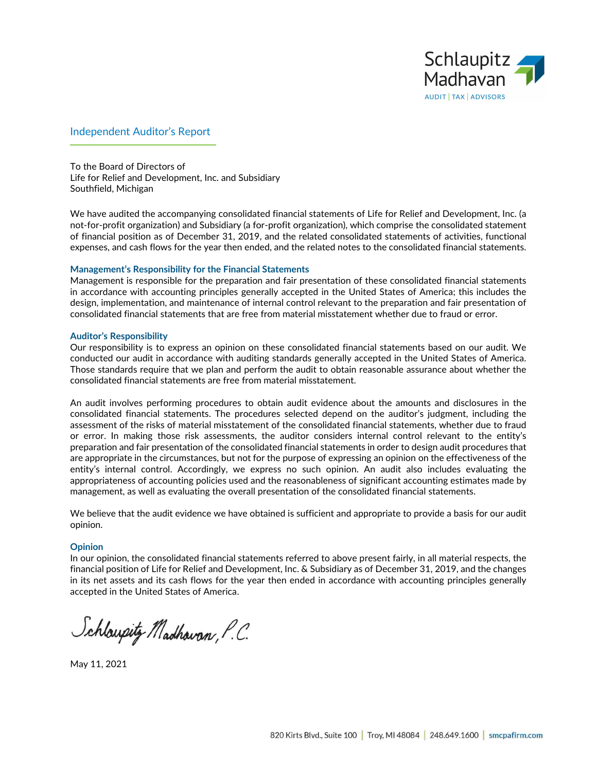

### Independent Auditor's Report

To the Board of Directors of Life for Relief and Development, Inc. and Subsidiary Southfield, Michigan

We have audited the accompanying consolidated financial statements of Life for Relief and Development, Inc. (a not-for-profit organization) and Subsidiary (a for-profit organization), which comprise the consolidated statement of financial position as of December 31, 2019, and the related consolidated statements of activities, functional expenses, and cash flows for the year then ended, and the related notes to the consolidated financial statements.

#### **Management's Responsibility for the Financial Statements**

Management is responsible for the preparation and fair presentation of these consolidated financial statements in accordance with accounting principles generally accepted in the United States of America; this includes the design, implementation, and maintenance of internal control relevant to the preparation and fair presentation of consolidated financial statements that are free from material misstatement whether due to fraud or error.

#### **Auditor's Responsibility**

Our responsibility is to express an opinion on these consolidated financial statements based on our audit. We conducted our audit in accordance with auditing standards generally accepted in the United States of America. Those standards require that we plan and perform the audit to obtain reasonable assurance about whether the consolidated financial statements are free from material misstatement.

An audit involves performing procedures to obtain audit evidence about the amounts and disclosures in the consolidated financial statements. The procedures selected depend on the auditor's judgment, including the assessment of the risks of material misstatement of the consolidated financial statements, whether due to fraud or error. In making those risk assessments, the auditor considers internal control relevant to the entity's preparation and fair presentation of the consolidated financial statements in order to design audit procedures that are appropriate in the circumstances, but not for the purpose of expressing an opinion on the effectiveness of the entity's internal control. Accordingly, we express no such opinion. An audit also includes evaluating the appropriateness of accounting policies used and the reasonableness of significant accounting estimates made by management, as well as evaluating the overall presentation of the consolidated financial statements.

We believe that the audit evidence we have obtained is sufficient and appropriate to provide a basis for our audit opinion.

#### **Opinion**

In our opinion, the consolidated financial statements referred to above present fairly, in all material respects, the financial position of Life for Relief and Development, Inc. & Subsidiary as of December 31, 2019, and the changes in its net assets and its cash flows for the year then ended in accordance with accounting principles generally accepted in the United States of America.

Schloupitz Madhovan, P.C.

May 11, 2021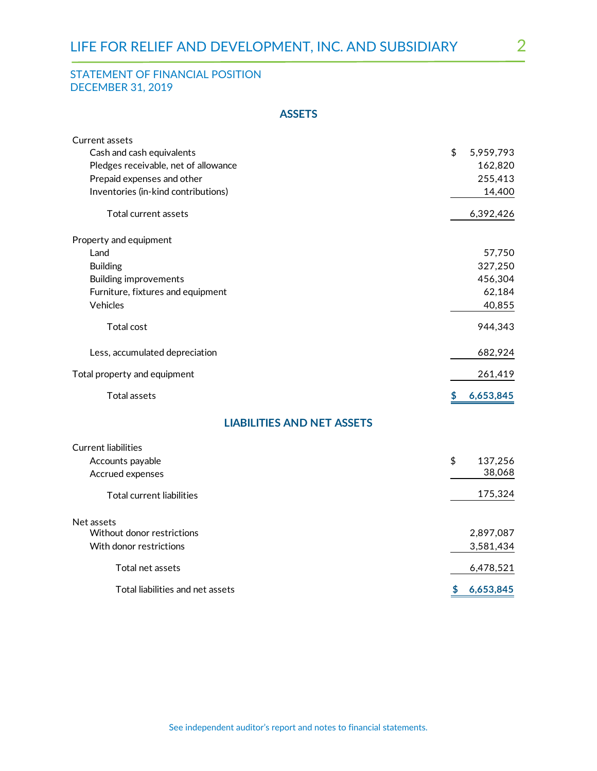# STATEMENT OF FINANCIAL POSITION DECEMBER 31, 2019

## **ASSETS**

| <b>Current assets</b>                |                 |
|--------------------------------------|-----------------|
| Cash and cash equivalents            | \$<br>5,959,793 |
| Pledges receivable, net of allowance | 162,820         |
| Prepaid expenses and other           | 255,413         |
| Inventories (in-kind contributions)  | 14,400          |
| Total current assets                 | 6,392,426       |
| Property and equipment               |                 |
| Land                                 | 57,750          |
| <b>Building</b>                      | 327,250         |
| <b>Building improvements</b>         | 456,304         |
| Furniture, fixtures and equipment    | 62,184          |
| Vehicles                             | 40,855          |
| <b>Total cost</b>                    | 944,343         |
| Less, accumulated depreciation       | 682,924         |
| Total property and equipment         | 261,419         |
| <b>Total assets</b>                  | 6,653,845<br>\$ |
| <b>LIABILITIES AND NET ASSETS</b>    |                 |
| <b>Current liabilities</b>           |                 |
| Accounts payable                     | \$<br>137,256   |
| Accrued expenses                     | 38,068          |
| <b>Total current liabilities</b>     | 175,324         |
| Net assets                           |                 |
| Without donor restrictions           | 2,897,087       |
| With donor restrictions              | 3,581,434       |
| Total net assets                     | 6,478,521       |
| Total liabilities and net assets     | \$<br>6,653,845 |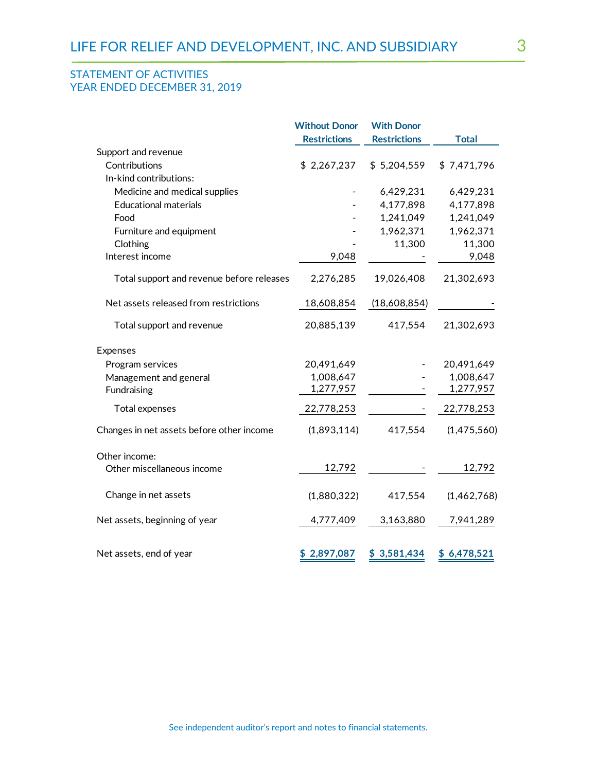## STATEMENT OF ACTIVITIES YEAR ENDED DECEMBER 31, 2019

|                                           | <b>Without Donor</b> | <b>With Donor</b>   |              |
|-------------------------------------------|----------------------|---------------------|--------------|
|                                           | <b>Restrictions</b>  | <b>Restrictions</b> | <b>Total</b> |
| Support and revenue                       |                      |                     |              |
| Contributions                             | \$2,267,237          | \$5,204,559         | \$7,471,796  |
| In-kind contributions:                    |                      |                     |              |
| Medicine and medical supplies             |                      | 6,429,231           | 6,429,231    |
| <b>Educational materials</b>              |                      | 4,177,898           | 4,177,898    |
| Food                                      |                      | 1,241,049           | 1,241,049    |
| Furniture and equipment                   |                      | 1,962,371           | 1,962,371    |
| Clothing                                  |                      | 11,300              | 11,300       |
| Interest income                           | 9,048                |                     | 9,048        |
| Total support and revenue before releases | 2,276,285            | 19,026,408          | 21,302,693   |
| Net assets released from restrictions     | 18,608,854           | (18,608,854)        |              |
| Total support and revenue                 | 20,885,139           | 417,554             | 21,302,693   |
| <b>Expenses</b>                           |                      |                     |              |
| Program services                          | 20,491,649           |                     | 20,491,649   |
| Management and general                    | 1,008,647            |                     | 1,008,647    |
| Fundraising                               | 1,277,957            |                     | 1,277,957    |
| Total expenses                            | 22,778,253           |                     | 22,778,253   |
| Changes in net assets before other income | (1,893,114)          | 417,554             | (1,475,560)  |
| Other income:                             |                      |                     |              |
| Other miscellaneous income                | 12,792               |                     | 12,792       |
| Change in net assets                      | (1,880,322)          | 417,554             | (1,462,768)  |
| Net assets, beginning of year             | 4,777,409            | 3,163,880           | 7,941,289    |
| Net assets, end of year                   | 2,897,087            | \$3,581,434         | \$6,478,521  |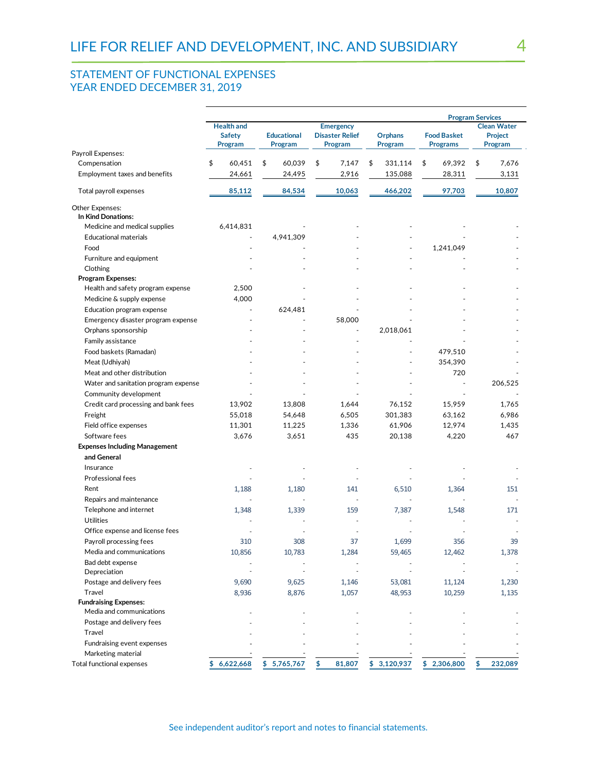# STATEMENT OF FUNCTIONAL EXPENSES YEAR ENDED DECEMBER 31, 2019

|                                      | <b>Program Services</b>                       |                               |                                                       |                    |                                       |                                                 |
|--------------------------------------|-----------------------------------------------|-------------------------------|-------------------------------------------------------|--------------------|---------------------------------------|-------------------------------------------------|
|                                      | <b>Health and</b><br><b>Safety</b><br>Program | <b>Educational</b><br>Program | <b>Emergency</b><br><b>Disaster Relief</b><br>Program | Orphans<br>Program | <b>Food Basket</b><br><b>Programs</b> | <b>Clean Water</b><br><b>Project</b><br>Program |
| Payroll Expenses:                    |                                               |                               |                                                       |                    |                                       |                                                 |
| Compensation                         | \$<br>60,451                                  | \$<br>60,039                  | \$<br>7.147                                           | \$<br>331,114      | \$<br>69,392                          | \$<br>7,676                                     |
| Employment taxes and benefits        | 24,661                                        | 24,495                        | 2,916                                                 | 135,088            | 28,311                                | 3,131                                           |
| Total payroll expenses               | 85,112                                        | 84,534                        | 10,063                                                | 466,202            | 97,703                                | 10,807                                          |
| Other Expenses:                      |                                               |                               |                                                       |                    |                                       |                                                 |
| In Kind Donations:                   |                                               |                               |                                                       |                    |                                       |                                                 |
| Medicine and medical supplies        | 6,414,831                                     |                               |                                                       |                    |                                       |                                                 |
| <b>Educational materials</b>         |                                               | 4,941,309                     |                                                       |                    |                                       |                                                 |
| Food                                 |                                               |                               |                                                       |                    | 1,241,049                             |                                                 |
| Furniture and equipment              |                                               |                               |                                                       |                    |                                       |                                                 |
| Clothing                             |                                               |                               |                                                       |                    |                                       |                                                 |
| <b>Program Expenses:</b>             |                                               |                               |                                                       |                    |                                       |                                                 |
| Health and safety program expense    | 2,500                                         |                               |                                                       |                    |                                       |                                                 |
| Medicine & supply expense            | 4,000                                         |                               |                                                       |                    |                                       |                                                 |
| Education program expense            | $\overline{\phantom{a}}$                      | 624,481                       |                                                       |                    |                                       |                                                 |
| Emergency disaster program expense   |                                               |                               | 58,000                                                |                    |                                       |                                                 |
| Orphans sponsorship                  |                                               |                               | $\overline{\phantom{a}}$                              | 2,018,061          |                                       |                                                 |
| Family assistance                    |                                               |                               |                                                       |                    |                                       |                                                 |
| Food baskets (Ramadan)               |                                               |                               |                                                       |                    | 479,510                               |                                                 |
| Meat (Udhiyah)                       |                                               |                               |                                                       |                    | 354,390                               |                                                 |
| Meat and other distribution          |                                               |                               |                                                       |                    | 720                                   |                                                 |
|                                      |                                               |                               |                                                       |                    |                                       | 206,525                                         |
| Water and sanitation program expense |                                               |                               |                                                       |                    |                                       |                                                 |
| Community development                |                                               |                               |                                                       |                    |                                       |                                                 |
| Credit card processing and bank fees | 13,902                                        | 13,808                        | 1,644                                                 | 76,152             | 15,959                                | 1,765                                           |
| Freight                              | 55,018                                        | 54,648                        | 6,505                                                 | 301,383            | 63,162                                | 6,986                                           |
| Field office expenses                | 11,301                                        | 11,225                        | 1,336                                                 | 61,906             | 12,974                                | 1,435                                           |
| Software fees                        | 3,676                                         | 3,651                         | 435                                                   | 20,138             | 4,220                                 | 467                                             |
| <b>Expenses Including Management</b> |                                               |                               |                                                       |                    |                                       |                                                 |
| and General                          |                                               |                               |                                                       |                    |                                       |                                                 |
| Insurance                            |                                               |                               |                                                       |                    |                                       |                                                 |
| Professional fees                    |                                               |                               |                                                       |                    |                                       |                                                 |
| Rent                                 | 1,188                                         | 1,180                         | 141                                                   | 6,510              | 1,364                                 | 151                                             |
| Repairs and maintenance              |                                               |                               |                                                       |                    |                                       |                                                 |
| Telephone and internet               | 1,348                                         | 1,339                         | 159                                                   | 7,387              | 1,548                                 | 171                                             |
| <b>Utilities</b>                     |                                               |                               |                                                       |                    |                                       |                                                 |
| Office expense and license fees      |                                               |                               |                                                       |                    |                                       |                                                 |
| Payroll processing fees              | 310                                           | 308                           | 37                                                    | 1,699              | 356                                   | 39                                              |
| Media and communications             | 10,856                                        | 10,783                        | 1,284                                                 | 59,465             | 12,462                                | 1,378                                           |
| Bad debt expense                     |                                               |                               |                                                       |                    |                                       |                                                 |
| Depreciation                         |                                               |                               |                                                       |                    |                                       |                                                 |
| Postage and delivery fees            | 9,690                                         | 9,625                         | 1,146                                                 | 53,081             | 11,124                                | 1,230                                           |
| Travel                               | 8,936                                         | 8,876                         | 1,057                                                 | 48,953             | 10,259                                | 1,135                                           |
| <b>Fundraising Expenses:</b>         |                                               |                               |                                                       |                    |                                       |                                                 |
| Media and communications             |                                               |                               |                                                       |                    |                                       |                                                 |
| Postage and delivery fees            |                                               |                               |                                                       |                    |                                       |                                                 |
| Travel                               |                                               |                               |                                                       |                    |                                       |                                                 |
| Fundraising event expenses           |                                               |                               |                                                       |                    |                                       |                                                 |
| Marketing material                   |                                               |                               |                                                       |                    |                                       |                                                 |
| <b>Total functional expenses</b>     | \$6,622,668                                   | \$5,765,767                   | 81,807<br>\$                                          | \$3,120,937        | \$2,306,800                           | \$<br>232,089                                   |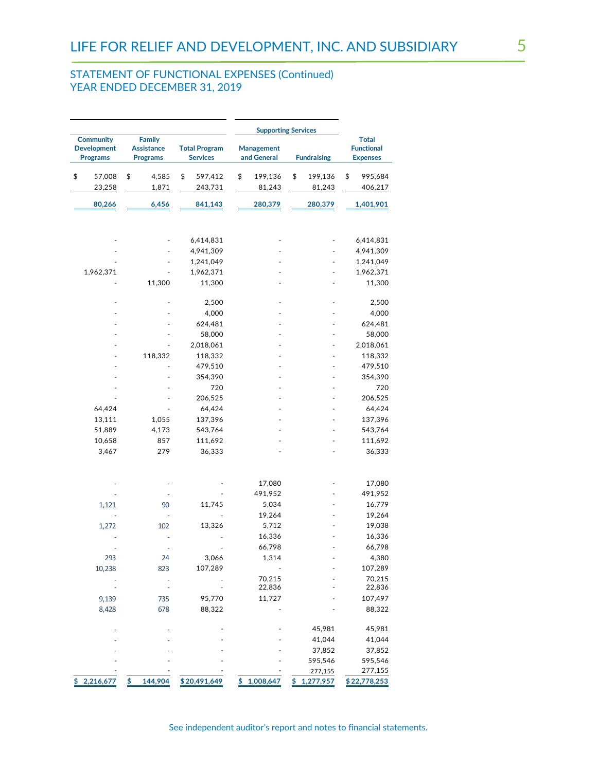## STATEMENT OF FUNCTIONAL EXPENSES (Continued) YEAR ENDED DECEMBER 31, 2019

|                                       |                                      |                                         | <b>Supporting Services</b>       |                    |                                      |
|---------------------------------------|--------------------------------------|-----------------------------------------|----------------------------------|--------------------|--------------------------------------|
| Community                             | <b>Family</b>                        |                                         |                                  |                    | <b>Total</b>                         |
| <b>Development</b><br><b>Programs</b> | <b>Assistance</b><br><b>Programs</b> | <b>Total Program</b><br><b>Services</b> | <b>Management</b><br>and General | <b>Fundraising</b> | <b>Functional</b><br><b>Expenses</b> |
|                                       |                                      |                                         |                                  |                    |                                      |
| \$<br>57,008                          | \$<br>4,585                          | \$<br>597,412                           | \$<br>199,136                    | \$<br>199,136      | \$<br>995,684                        |
| 23,258                                | 1,871                                | 243,731                                 | 81,243                           | 81,243             | 406,217                              |
| 80,266                                | 6,456                                | 841,143                                 | 280,379                          | 280,379            | 1,401,901                            |
|                                       |                                      |                                         |                                  |                    |                                      |
|                                       |                                      |                                         |                                  |                    |                                      |
|                                       |                                      | 6,414,831                               |                                  |                    | 6,414,831                            |
|                                       |                                      | 4,941,309                               |                                  |                    | 4,941,309                            |
|                                       |                                      | 1,241,049                               |                                  |                    | 1,241,049                            |
| 1,962,371                             |                                      | 1,962,371                               |                                  |                    | 1,962,371                            |
|                                       | 11,300                               | 11,300                                  |                                  |                    | 11,300                               |
|                                       |                                      |                                         |                                  |                    |                                      |
|                                       |                                      | 2,500                                   |                                  |                    | 2,500                                |
|                                       |                                      | 4,000                                   |                                  |                    | 4,000                                |
|                                       |                                      | 624,481                                 |                                  |                    | 624,481                              |
|                                       |                                      | 58,000                                  |                                  |                    | 58,000                               |
|                                       |                                      | 2,018,061                               |                                  |                    | 2,018,061                            |
|                                       | 118,332                              | 118,332                                 |                                  |                    | 118,332                              |
|                                       |                                      | 479,510                                 |                                  |                    | 479,510                              |
|                                       |                                      | 354,390                                 |                                  |                    | 354,390                              |
|                                       |                                      | 720                                     |                                  |                    | 720                                  |
|                                       |                                      | 206,525                                 |                                  |                    | 206,525                              |
| 64,424                                |                                      | 64,424                                  |                                  |                    | 64,424                               |
| 13,111                                | 1,055                                | 137,396                                 |                                  |                    | 137,396                              |
| 51,889                                | 4,173                                | 543,764                                 |                                  |                    | 543,764                              |
| 10,658                                | 857                                  | 111,692                                 |                                  |                    | 111,692                              |
| 3,467                                 | 279                                  | 36,333                                  |                                  |                    | 36,333                               |
|                                       |                                      |                                         |                                  |                    |                                      |
|                                       |                                      |                                         |                                  |                    |                                      |
|                                       |                                      |                                         | 17,080                           |                    | 17,080                               |
|                                       |                                      |                                         | 491,952<br>5,034                 |                    | 491,952<br>16,779                    |
| 1,121                                 | 90<br>$\overline{a}$                 | 11,745                                  | 19,264                           |                    | 19,264                               |
|                                       | 102                                  | 13,326                                  | 5,712                            |                    | 19,038                               |
| 1,272                                 |                                      |                                         | 16,336                           |                    | 16,336                               |
|                                       |                                      |                                         | 66,798                           |                    | 66,798                               |
| 293                                   | 24                                   | 3,066                                   | 1,314                            |                    | 4,380                                |
| 10,238                                | 823                                  | 107,289                                 |                                  |                    | 107,289                              |
|                                       |                                      |                                         | 70,215                           |                    | 70,215                               |
|                                       |                                      |                                         | 22,836                           |                    | 22,836                               |
| 9,139                                 | 735                                  | 95,770                                  | 11,727                           |                    | 107,497                              |
| 8,428                                 | 678                                  | 88,322                                  |                                  |                    | 88,322                               |
|                                       |                                      |                                         |                                  |                    |                                      |
|                                       |                                      |                                         |                                  | 45,981             | 45,981                               |
|                                       |                                      |                                         |                                  | 41,044             | 41,044                               |
|                                       |                                      |                                         |                                  | 37,852             | 37,852                               |
|                                       |                                      |                                         |                                  | 595,546            | 595,546                              |
|                                       |                                      |                                         |                                  | 277,155            | 277,155                              |
| 2,216,677<br>\$                       | 144,904<br>\$                        | \$20,491,649                            | \$1,008,647                      | \$1,277,957        | \$22,778,253                         |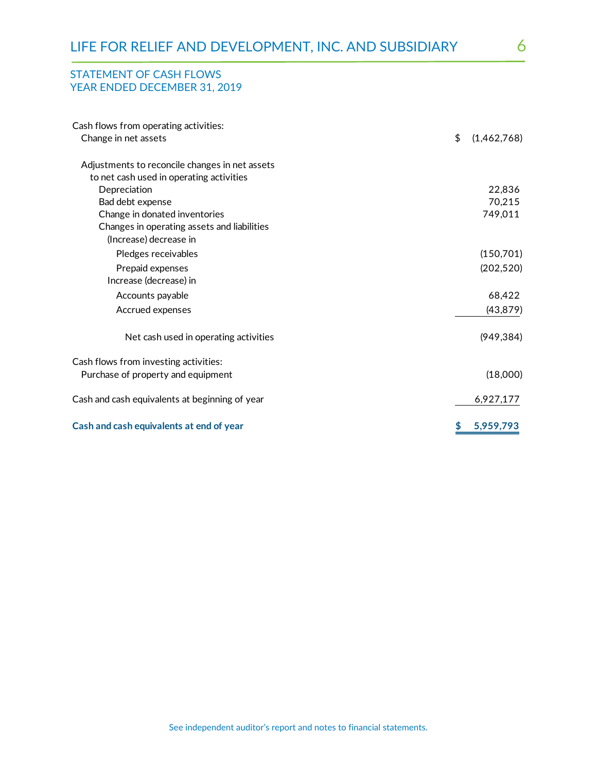## STATEMENT OF CASH FLOWS YEAR ENDED DECEMBER 31, 2019

| Cash flows from operating activities:          |                   |
|------------------------------------------------|-------------------|
| Change in net assets                           | \$<br>(1,462,768) |
| Adjustments to reconcile changes in net assets |                   |
| to net cash used in operating activities       |                   |
| Depreciation                                   | 22,836            |
| Bad debt expense                               | 70,215            |
| Change in donated inventories                  | 749,011           |
| Changes in operating assets and liabilities    |                   |
| (Increase) decrease in                         |                   |
| Pledges receivables                            | (150, 701)        |
| Prepaid expenses                               | (202, 520)        |
| Increase (decrease) in                         |                   |
| Accounts payable                               | 68,422            |
| Accrued expenses                               | (43, 879)         |
| Net cash used in operating activities          | (949, 384)        |
| Cash flows from investing activities:          |                   |
| Purchase of property and equipment             | (18,000)          |
| Cash and cash equivalents at beginning of year | 6,927,177         |
| Cash and cash equivalents at end of year       | \$<br>5,959,793   |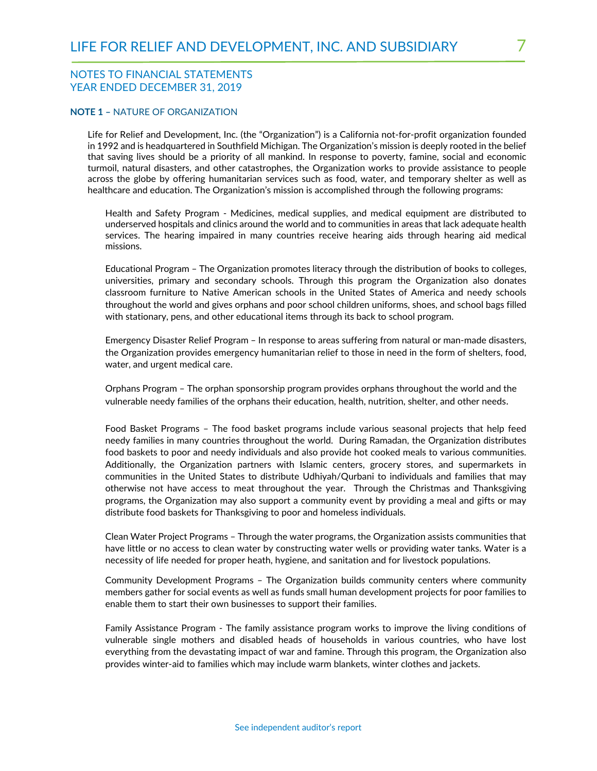#### **NOTE 1 –** NATURE OF ORGANIZATION

Life for Relief and Development, Inc. (the "Organization") is a California not-for-profit organization founded in 1992 and is headquartered in Southfield Michigan. The Organization's mission is deeply rooted in the belief that saving lives should be a priority of all mankind. In response to poverty, famine, social and economic turmoil, natural disasters, and other catastrophes, the Organization works to provide assistance to people across the globe by offering humanitarian services such as food, water, and temporary shelter as well as healthcare and education. The Organization's mission is accomplished through the following programs:

Health and Safety Program - Medicines, medical supplies, and medical equipment are distributed to underserved hospitals and clinics around the world and to communities in areas that lack adequate health services. The hearing impaired in many countries receive hearing aids through hearing aid medical missions.

Educational Program – The Organization promotes literacy through the distribution of books to colleges, universities, primary and secondary schools. Through this program the Organization also donates classroom furniture to Native American schools in the United States of America and needy schools throughout the world and gives orphans and poor school children uniforms, shoes, and school bags filled with stationary, pens, and other educational items through its back to school program.

Emergency Disaster Relief Program – In response to areas suffering from natural or man-made disasters, the Organization provides emergency humanitarian relief to those in need in the form of shelters, food, water, and urgent medical care.

Orphans Program – The orphan sponsorship program provides orphans throughout the world and the vulnerable needy families of the orphans their education, health, nutrition, shelter, and other needs.

Food Basket Programs – The food basket programs include various seasonal projects that help feed needy families in many countries throughout the world. During Ramadan, the Organization distributes food baskets to poor and needy individuals and also provide hot cooked meals to various communities. Additionally, the Organization partners with Islamic centers, grocery stores, and supermarkets in communities in the United States to distribute Udhiyah/Qurbani to individuals and families that may otherwise not have access to meat throughout the year. Through the Christmas and Thanksgiving programs, the Organization may also support a community event by providing a meal and gifts or may distribute food baskets for Thanksgiving to poor and homeless individuals.

Clean Water Project Programs – Through the water programs, the Organization assists communities that have little or no access to clean water by constructing water wells or providing water tanks. Water is a necessity of life needed for proper heath, hygiene, and sanitation and for livestock populations.

Community Development Programs – The Organization builds community centers where community members gather for social events as well as funds small human development projects for poor families to enable them to start their own businesses to support their families.

Family Assistance Program - The family assistance program works to improve the living conditions of vulnerable single mothers and disabled heads of households in various countries, who have lost everything from the devastating impact of war and famine. Through this program, the Organization also provides winter-aid to families which may include warm blankets, winter clothes and jackets.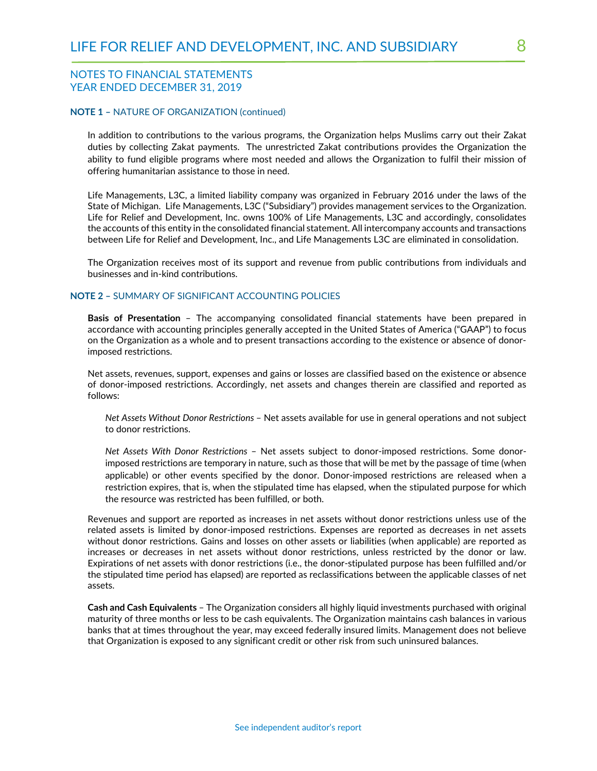#### **NOTE 1 –** NATURE OF ORGANIZATION (continued)

In addition to contributions to the various programs, the Organization helps Muslims carry out their Zakat duties by collecting Zakat payments. The unrestricted Zakat contributions provides the Organization the ability to fund eligible programs where most needed and allows the Organization to fulfil their mission of offering humanitarian assistance to those in need.

Life Managements, L3C, a limited liability company was organized in February 2016 under the laws of the State of Michigan. Life Managements, L3C ("Subsidiary") provides management services to the Organization. Life for Relief and Development, Inc. owns 100% of Life Managements, L3C and accordingly, consolidates the accounts of this entity in the consolidated financial statement. All intercompany accounts and transactions between Life for Relief and Development, Inc., and Life Managements L3C are eliminated in consolidation.

The Organization receives most of its support and revenue from public contributions from individuals and businesses and in-kind contributions.

#### **NOTE 2 –** SUMMARY OF SIGNIFICANT ACCOUNTING POLICIES

**Basis of Presentation** – The accompanying consolidated financial statements have been prepared in accordance with accounting principles generally accepted in the United States of America ("GAAP") to focus on the Organization as a whole and to present transactions according to the existence or absence of donorimposed restrictions.

Net assets, revenues, support, expenses and gains or losses are classified based on the existence or absence of donor-imposed restrictions. Accordingly, net assets and changes therein are classified and reported as follows:

*Net Assets Without Donor Restrictions* – Net assets available for use in general operations and not subject to donor restrictions.

*Net Assets With Donor Restrictions* – Net assets subject to donor-imposed restrictions. Some donorimposed restrictions are temporary in nature, such as those that will be met by the passage of time (when applicable) or other events specified by the donor. Donor-imposed restrictions are released when a restriction expires, that is, when the stipulated time has elapsed, when the stipulated purpose for which the resource was restricted has been fulfilled, or both.

Revenues and support are reported as increases in net assets without donor restrictions unless use of the related assets is limited by donor-imposed restrictions. Expenses are reported as decreases in net assets without donor restrictions. Gains and losses on other assets or liabilities (when applicable) are reported as increases or decreases in net assets without donor restrictions, unless restricted by the donor or law. Expirations of net assets with donor restrictions (i.e., the donor-stipulated purpose has been fulfilled and/or the stipulated time period has elapsed) are reported as reclassifications between the applicable classes of net assets.

**Cash and Cash Equivalents** – The Organization considers all highly liquid investments purchased with original maturity of three months or less to be cash equivalents. The Organization maintains cash balances in various banks that at times throughout the year, may exceed federally insured limits. Management does not believe that Organization is exposed to any significant credit or other risk from such uninsured balances.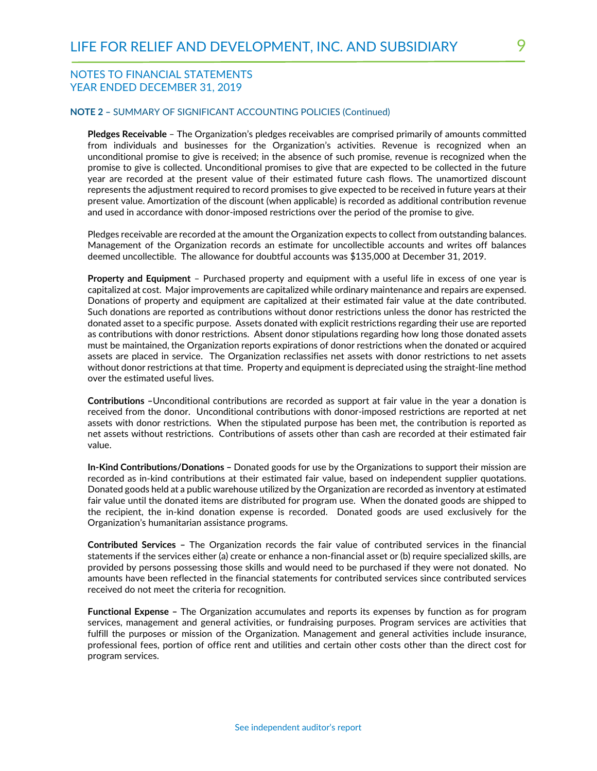#### **NOTE 2 –** SUMMARY OF SIGNIFICANT ACCOUNTING POLICIES (Continued)

**Pledges Receivable** – The Organization's pledges receivables are comprised primarily of amounts committed from individuals and businesses for the Organization's activities. Revenue is recognized when an unconditional promise to give is received; in the absence of such promise, revenue is recognized when the promise to give is collected. Unconditional promises to give that are expected to be collected in the future year are recorded at the present value of their estimated future cash flows. The unamortized discount represents the adjustment required to record promises to give expected to be received in future years at their present value. Amortization of the discount (when applicable) is recorded as additional contribution revenue and used in accordance with donor-imposed restrictions over the period of the promise to give.

Pledges receivable are recorded at the amount the Organization expects to collect from outstanding balances. Management of the Organization records an estimate for uncollectible accounts and writes off balances deemed uncollectible. The allowance for doubtful accounts was \$135,000 at December 31, 2019.

**Property and Equipment** – Purchased property and equipment with a useful life in excess of one year is capitalized at cost. Major improvements are capitalized while ordinary maintenance and repairs are expensed. Donations of property and equipment are capitalized at their estimated fair value at the date contributed. Such donations are reported as contributions without donor restrictions unless the donor has restricted the donated asset to a specific purpose. Assets donated with explicit restrictions regarding their use are reported as contributions with donor restrictions. Absent donor stipulations regarding how long those donated assets must be maintained, the Organization reports expirations of donor restrictions when the donated or acquired assets are placed in service. The Organization reclassifies net assets with donor restrictions to net assets without donor restrictions at that time. Property and equipment is depreciated using the straight-line method over the estimated useful lives.

**Contributions –**Unconditional contributions are recorded as support at fair value in the year a donation is received from the donor. Unconditional contributions with donor-imposed restrictions are reported at net assets with donor restrictions. When the stipulated purpose has been met, the contribution is reported as net assets without restrictions. Contributions of assets other than cash are recorded at their estimated fair value.

**In-Kind Contributions/Donations –** Donated goods for use by the Organizations to support their mission are recorded as in-kind contributions at their estimated fair value, based on independent supplier quotations. Donated goods held at a public warehouse utilized by the Organization are recorded as inventory at estimated fair value until the donated items are distributed for program use. When the donated goods are shipped to the recipient, the in-kind donation expense is recorded. Donated goods are used exclusively for the Organization's humanitarian assistance programs.

**Contributed Services –** The Organization records the fair value of contributed services in the financial statements if the services either (a) create or enhance a non-financial asset or (b) require specialized skills, are provided by persons possessing those skills and would need to be purchased if they were not donated. No amounts have been reflected in the financial statements for contributed services since contributed services received do not meet the criteria for recognition.

**Functional Expense –** The Organization accumulates and reports its expenses by function as for program services, management and general activities, or fundraising purposes. Program services are activities that fulfill the purposes or mission of the Organization. Management and general activities include insurance, professional fees, portion of office rent and utilities and certain other costs other than the direct cost for program services.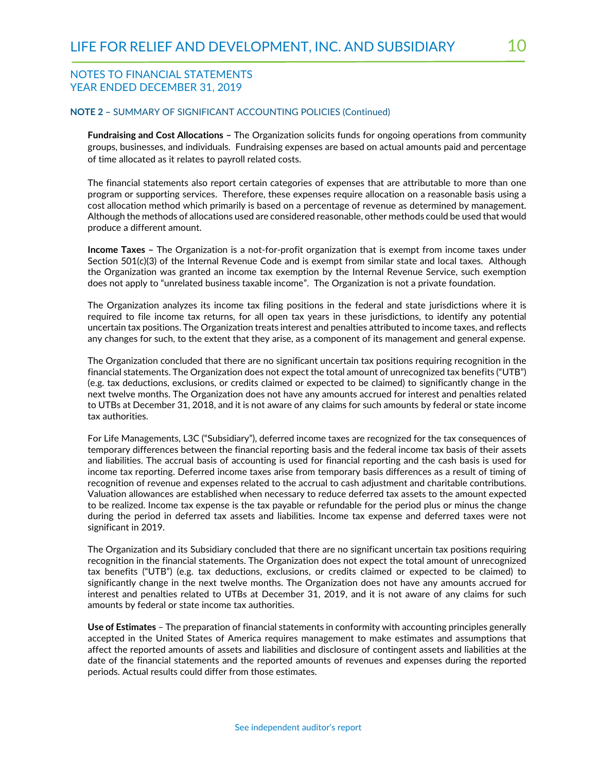#### **NOTE 2 –** SUMMARY OF SIGNIFICANT ACCOUNTING POLICIES (Continued)

**Fundraising and Cost Allocations –** The Organization solicits funds for ongoing operations from community groups, businesses, and individuals. Fundraising expenses are based on actual amounts paid and percentage of time allocated as it relates to payroll related costs.

The financial statements also report certain categories of expenses that are attributable to more than one program or supporting services. Therefore, these expenses require allocation on a reasonable basis using a cost allocation method which primarily is based on a percentage of revenue as determined by management. Although the methods of allocations used are considered reasonable, other methods could be used that would produce a different amount.

**Income Taxes –** The Organization is a not-for-profit organization that is exempt from income taxes under Section 501(c)(3) of the Internal Revenue Code and is exempt from similar state and local taxes. Although the Organization was granted an income tax exemption by the Internal Revenue Service, such exemption does not apply to "unrelated business taxable income". The Organization is not a private foundation.

The Organization analyzes its income tax filing positions in the federal and state jurisdictions where it is required to file income tax returns, for all open tax years in these jurisdictions, to identify any potential uncertain tax positions. The Organization treats interest and penalties attributed to income taxes, and reflects any changes for such, to the extent that they arise, as a component of its management and general expense.

The Organization concluded that there are no significant uncertain tax positions requiring recognition in the financial statements. The Organization does not expect the total amount of unrecognized tax benefits ("UTB") (e.g. tax deductions, exclusions, or credits claimed or expected to be claimed) to significantly change in the next twelve months. The Organization does not have any amounts accrued for interest and penalties related to UTBs at December 31, 2018, and it is not aware of any claims for such amounts by federal or state income tax authorities.

For Life Managements, L3C ("Subsidiary"), deferred income taxes are recognized for the tax consequences of temporary differences between the financial reporting basis and the federal income tax basis of their assets and liabilities. The accrual basis of accounting is used for financial reporting and the cash basis is used for income tax reporting. Deferred income taxes arise from temporary basis differences as a result of timing of recognition of revenue and expenses related to the accrual to cash adjustment and charitable contributions. Valuation allowances are established when necessary to reduce deferred tax assets to the amount expected to be realized. Income tax expense is the tax payable or refundable for the period plus or minus the change during the period in deferred tax assets and liabilities. Income tax expense and deferred taxes were not significant in 2019.

The Organization and its Subsidiary concluded that there are no significant uncertain tax positions requiring recognition in the financial statements. The Organization does not expect the total amount of unrecognized tax benefits ("UTB") (e.g. tax deductions, exclusions, or credits claimed or expected to be claimed) to significantly change in the next twelve months. The Organization does not have any amounts accrued for interest and penalties related to UTBs at December 31, 2019, and it is not aware of any claims for such amounts by federal or state income tax authorities.

**Use of Estimates** – The preparation of financial statements in conformity with accounting principles generally accepted in the United States of America requires management to make estimates and assumptions that affect the reported amounts of assets and liabilities and disclosure of contingent assets and liabilities at the date of the financial statements and the reported amounts of revenues and expenses during the reported periods. Actual results could differ from those estimates.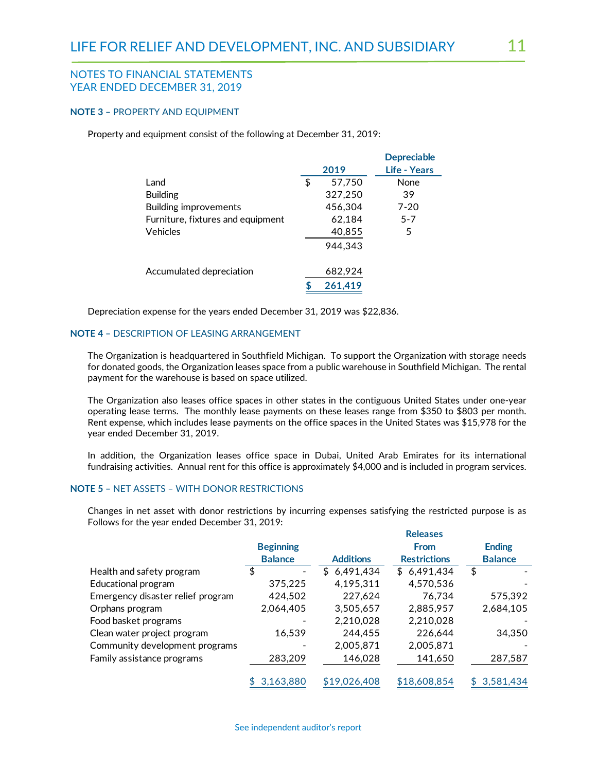#### **NOTE 3 –** PROPERTY AND EQUIPMENT

Property and equipment consist of the following at December 31, 2019:

|                                   |              | <b>Depreciable</b> |
|-----------------------------------|--------------|--------------------|
|                                   | 2019         | Life - Years       |
| Land                              | \$<br>57,750 | <b>None</b>        |
| <b>Building</b>                   | 327,250      | 39                 |
| Building improvements             | 456.304      | $7 - 20$           |
| Furniture, fixtures and equipment | 62,184       | $5 - 7$            |
| <b>Vehicles</b>                   | 40,855       | 5                  |
|                                   | 944.343      |                    |
| Accumulated depreciation          | 682,924      |                    |
|                                   | 261,419      |                    |
|                                   |              |                    |

Depreciation expense for the years ended December 31, 2019 was \$22,836.

#### **NOTE 4 –** DESCRIPTION OF LEASING ARRANGEMENT

The Organization is headquartered in Southfield Michigan. To support the Organization with storage needs for donated goods, the Organization leases space from a public warehouse in Southfield Michigan. The rental payment for the warehouse is based on space utilized.

The Organization also leases office spaces in other states in the contiguous United States under one-year operating lease terms. The monthly lease payments on these leases range from \$350 to \$803 per month. Rent expense, which includes lease payments on the office spaces in the United States was \$15,978 for the year ended December 31, 2019.

In addition, the Organization leases office space in Dubai, United Arab Emirates for its international fundraising activities. Annual rent for this office is approximately \$4,000 and is included in program services.

#### **NOTE 5 –** NET ASSETS – WITH DONOR RESTRICTIONS

Changes in net asset with donor restrictions by incurring expenses satisfying the restricted purpose is as Follows for the year ended December 31, 2019:

|                                   |                  |                  | <b>Releases</b>     |                  |
|-----------------------------------|------------------|------------------|---------------------|------------------|
|                                   | <b>Beginning</b> |                  | <b>From</b>         | <b>Ending</b>    |
|                                   | <b>Balance</b>   | <b>Additions</b> | <b>Restrictions</b> | <b>Balance</b>   |
| Health and safety program         | \$               | 6,491,434<br>\$  | 6,491,434<br>S.     | \$               |
| Educational program               | 375,225          | 4,195,311        | 4,570,536           |                  |
| Emergency disaster relief program | 424,502          | 227,624          | 76,734              | 575,392          |
| Orphans program                   | 2,064,405        | 3,505,657        | 2,885,957           | 2,684,105        |
| Food basket programs              |                  | 2,210,028        | 2,210,028           |                  |
| Clean water project program       | 16,539           | 244,455          | 226,644             | 34,350           |
| Community development programs    |                  | 2,005,871        | 2,005,871           |                  |
| Family assistance programs        | 283,209          | 146,028          | 141,650             | 287,587          |
|                                   | 3,163,880<br>\$  | \$19,026,408     | \$18,608,854        | 3,581,434<br>\$. |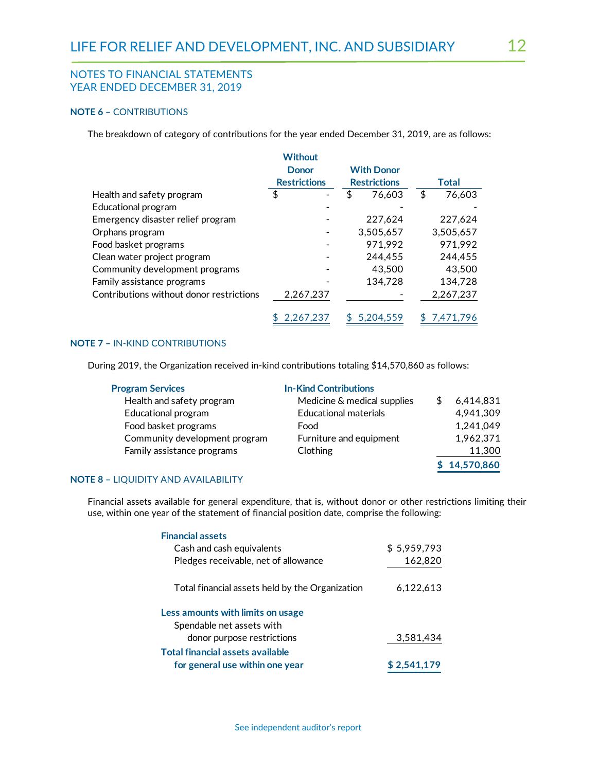#### **NOTE 6 –** CONTRIBUTIONS

The breakdown of category of contributions for the year ended December 31, 2019, are as follows:

|                                          | <b>Without</b>      |                     |              |
|------------------------------------------|---------------------|---------------------|--------------|
|                                          | <b>Donor</b>        | <b>With Donor</b>   |              |
|                                          | <b>Restrictions</b> | <b>Restrictions</b> | <b>Total</b> |
| Health and safety program                | \$                  | 76,603              | \$<br>76,603 |
| Educational program                      |                     |                     |              |
| Emergency disaster relief program        |                     | 227,624             | 227,624      |
| Orphans program                          |                     | 3,505,657           | 3,505,657    |
| Food basket programs                     |                     | 971,992             | 971,992      |
| Clean water project program              |                     | 244.455             | 244,455      |
| Community development programs           |                     | 43,500              | 43,500       |
| Family assistance programs               |                     | 134,728             | 134,728      |
| Contributions without donor restrictions | 2,267,237           |                     | 2,267,237    |
|                                          | 2,267,237           | 5.204.559           | 7.471.796    |

#### **NOTE 7 –** IN-KIND CONTRIBUTIONS

During 2019, the Organization received in-kind contributions totaling \$14,570,860 as follows:

| <b>Program Services</b>       | <b>In-Kind Contributions</b> |              |
|-------------------------------|------------------------------|--------------|
| Health and safety program     | Medicine & medical supplies  | 6,414,831    |
| Educational program           | <b>Educational materials</b> | 4,941,309    |
| Food basket programs          | Food                         | 1,241,049    |
| Community development program | Furniture and equipment      | 1,962,371    |
| Family assistance programs    | Clothing                     | 11,300       |
|                               |                              | \$14,570,860 |

#### **NOTE 8 –** LIQUIDITY AND AVAILABILITY

Financial assets available for general expenditure, that is, without donor or other restrictions limiting their use, within one year of the statement of financial position date, comprise the following:

| <b>Financial assets</b>                         |             |
|-------------------------------------------------|-------------|
| Cash and cash equivalents                       | \$5,959,793 |
| Pledges receivable, net of allowance            | 162,820     |
| Total financial assets held by the Organization | 6,122,613   |
| Less amounts with limits on usage               |             |
| Spendable net assets with                       |             |
| donor purpose restrictions                      | 3,581,434   |
| Total financial assets available                |             |
| for general use within one year                 | \$2.541.179 |